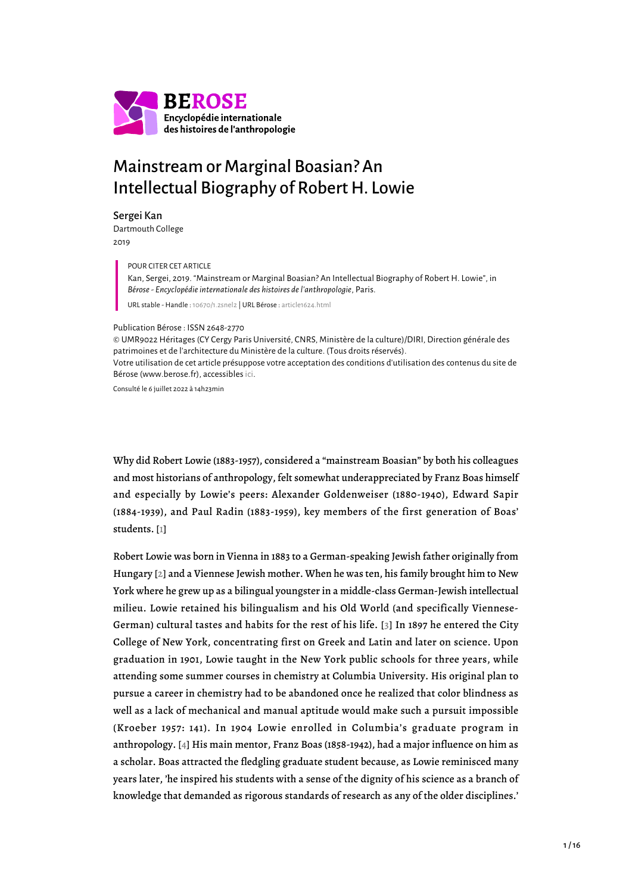

# Mainstream or Marginal Boasian? An Intellectual Biography of Robert H. Lowie

#### Sergei Kan

Dartmouth College 2019

POUR CITER CET ARTICLE

Kan, Sergei, 2019. "Mainstream or Marginal Boasian? An Intellectual Biography of Robert H. Lowie", in *Bérose - Encyclopédie internationale des histoires de l'anthropologie*, Paris.

URL stable - Handle : [10670/1.2snel2](https://hdl.handle.net/10670/1.2snel2) | URL Bérose : [article1624.html](https://www.berose.fr/article1624.html)

#### Publication Bérose : ISSN 2648-2770

© UMR9022 Héritages (CY Cergy Paris Université, CNRS, Ministère de la culture)/DIRI, Direction générale des patrimoines et de l'architecture du Ministère de la culture. (Tous droits réservés).

Votre utilisation de cet article présuppose votre acceptation des conditions d'utilisation des contenus du site de Bérose (www.berose.fr), accessibles [ici.](http://www.berose.fr/?Credits-Copyright)

Consulté le 6 juillet 2022 à 14h23min

Why did Robert Lowie (1883-1957), considered a "mainstream Boasian" by both his colleagues and most historians of anthropology, felt somewhat underappreciated by Franz Boas himself and especially by Lowie's peers: Alexander Goldenweiser (1880-1940), Edward Sapir (1884-1939), and Paul Radin (1883-1959), key members of the first generation of Boas' students. [\[1\]](#page-13-0)

<span id="page-0-3"></span><span id="page-0-2"></span><span id="page-0-1"></span><span id="page-0-0"></span>Robert Lowie was born in Vienna in 1883 to a German-speaking Jewish father originally from Hungary [[2\]](#page-13-1) and a Viennese Jewish mother. When he was ten, his family brought him to New York where he grew up as a bilingual youngster in a middle-class German-Jewish intellectual milieu. Lowie retained his bilingualism and his Old World (and specifically Viennese-German) cultural tastes and habits for the rest of his life. [[3\]](#page-14-0) In 1897 he entered the City College of New York, concentrating first on Greek and Latin and later on science. Upon graduation in 1901, Lowie taught in the New York public schools for three years, while attending some summer courses in chemistry at Columbia University. His original plan to pursue a career in chemistry had to be abandoned once he realized that color blindness as well as a lack of mechanical and manual aptitude would make such a pursuit impossible (Kroeber 1957: 141). In 1904 Lowie enrolled in Columbia's graduate program in anthropology. [\[4\]](#page-14-1) His main mentor, Franz Boas (1858-1942), had a major influence on him as a scholar. Boas attracted the fledgling graduate student because, as Lowie reminisced many years later, 'he inspired his students with a sense of the dignity of his science as a branch of knowledge that demanded as rigorous standards of research as any of the older disciplines.'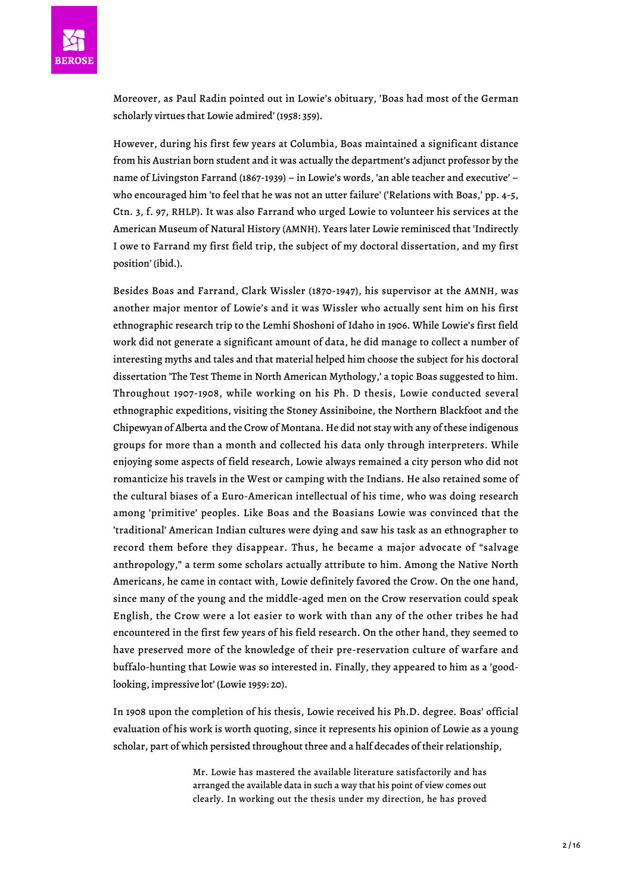

Moreover, as Paul Radin pointed out in Lowie's obituary, 'Boas had most of the German scholarly virtues that Lowie admired' (1958: 359).

However, during his first few years at Columbia, Boas maintained a significant distance from his Austrian born student and it was actually the department's adjunct professor by the name of Livingston Farrand (1867-1939) – in Lowie's words, 'an able teacher and executive' – who encouraged him 'to feel that he was not an utter failure' ('Relations with Boas,' pp. 4-5, Ctn. 3, f. 97, RHLP). It was also Farrand who urged Lowie to volunteer his services at the American Museum of Natural History (AMNH). Years later Lowie reminisced that 'Indirectly I owe to Farrand my first field trip, the subject of my doctoral dissertation, and my first position' (ibid.).

Besides Boas and Farrand, Clark Wissler (1870-1947), his supervisor at the AMNH, was another major mentor of Lowie's and it was Wissler who actually sent him on his first ethnographic research trip to the Lemhi Shoshoni of Idaho in 1906. While Lowie's first field work did not generate a significant amount of data, he did manage to collect a number of interesting myths and tales and that material helped him choose the subject for his doctoral dissertation 'The Test Theme in North American Mythology,' a topic Boas suggested to him. Throughout 1907-1908, while working on his Ph. D thesis, Lowie conducted several ethnographic expeditions, visiting the Stoney Assiniboine, the Northern Blackfoot and the Chipewyan of Alberta and the Crow of Montana. He did not stay with any of these indigenous groups for more than a month and collected his data only through interpreters. While enjoying some aspects of field research, Lowie always remained a city person who did not romanticize his travels in the West or camping with the Indians. He also retained some of the cultural biases of a Euro-American intellectual of his time, who was doing research among 'primitive' peoples. Like Boas and the Boasians Lowie was convinced that the 'traditional' American Indian cultures were dying and saw his task as an ethnographer to record them before they disappear. Thus, he became a major advocate of "salvage anthropology," a term some scholars actually attribute to him. Among the Native North Americans, he came in contact with, Lowie definitely favored the Crow. On the one hand, since many of the young and the middle-aged men on the Crow reservation could speak English, the Crow were a lot easier to work with than any of the other tribes he had encountered in the first few years of his field research. On the other hand, they seemed to have preserved more of the knowledge of their pre-reservation culture of warfare and buffalo-hunting that Lowie was so interested in. Finally, they appeared to him as a 'goodlooking, impressive lot' (Lowie 1959: 20).

In 1908 upon the completion of his thesis, Lowie received his Ph.D. degree. Boas' official evaluation of his work is worth quoting, since it represents his opinion of Lowie as a young scholar, part of which persisted throughout three and a half decades of their relationship,

> Mr. Lowie has mastered the available literature satisfactorily and has arranged the available data in such a way that his point of view comes out clearly. In working out the thesis under my direction, he has proved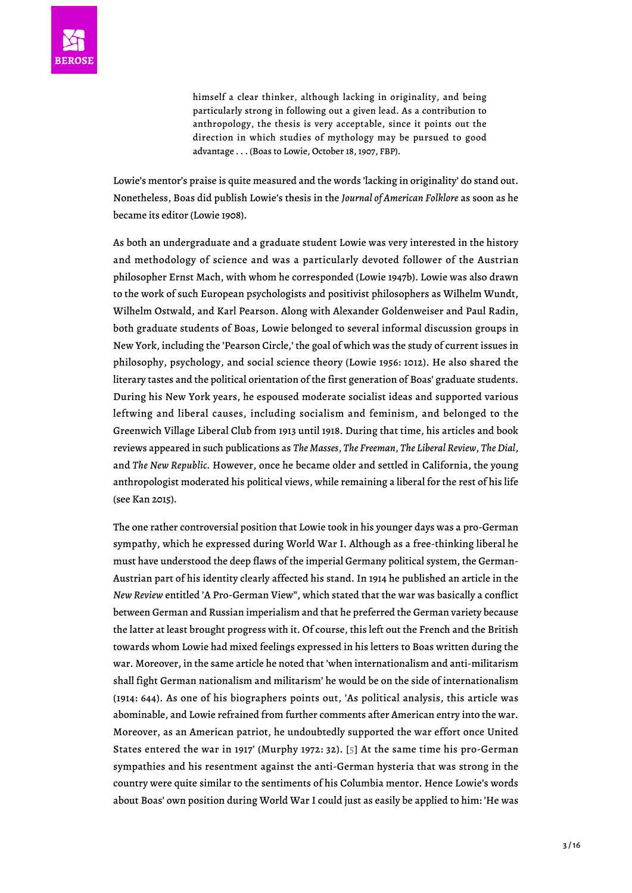himself a clear thinker, although lacking in originality, and being particularly strong in following out a given lead. As a contribution to anthropology, the thesis is very acceptable, since it points out the direction in which studies of mythology may be pursued to good advantage . . . (Boas to Lowie, October 18, 1907, FBP).

Lowie's mentor's praise is quite measured and the words 'lacking in originality' do stand out. Nonetheless, Boas did publish Lowie's thesis in the *Journal of American Folklore* as soon as he became its editor (Lowie 1908).

As both an undergraduate and a graduate student Lowie was very interested in the history and methodology of science and was a particularly devoted follower of the Austrian philosopher Ernst Mach, with whom he corresponded (Lowie 1947b). Lowie was also drawn to the work of such European psychologists and positivist philosophers as Wilhelm Wundt, Wilhelm Ostwald, and Karl Pearson. Along with Alexander Goldenweiser and Paul Radin, both graduate students of Boas, Lowie belonged to several informal discussion groups in New York, including the 'Pearson Circle,' the goal of which was the study of current issues in philosophy, psychology, and social science theory (Lowie 1956: 1012). He also shared the literary tastes and the political orientation of the first generation of Boas' graduate students. During his New York years, he espoused moderate socialist ideas and supported various leftwing and liberal causes, including socialism and feminism, and belonged to the Greenwich Village Liberal Club from 1913 until 1918. During that time, his articles and book reviews appeared in such publications as *The Masses*, *The Freeman*, *The Liberal Review*, *The Dial*, and *The New Republic.* However, once he became older and settled in California, the young anthropologist moderated his political views, while remaining a liberal for the rest of his life (see Kan 2015).

<span id="page-2-0"></span>The one rather controversial position that Lowie took in his younger days was a pro-German sympathy, which he expressed during World War I. Although as a free-thinking liberal he must have understood the deep flaws of the imperial Germany political system, the German-Austrian part of his identity clearly affected his stand. In 1914 he published an article in the *New Review* entitled 'A Pro-German View", which stated that the war was basically a conflict between German and Russian imperialism and that he preferred the German variety because the latter at least brought progress with it. Of course, this left out the French and the British towards whom Lowie had mixed feelings expressed in his letters to Boas written during the war. Moreover, in the same article he noted that 'when internationalism and anti-militarism shall fight German nationalism and militarism' he would be on the side of internationalism (1914: 644). As one of his biographers points out, 'As political analysis, this article was abominable, and Lowie refrained from further comments after American entry into the war. Moreover, as an American patriot, he undoubtedly supported the war effort once United States entered the war in 1917' (Murphy 1972: 32). [\[5](#page-14-2)] At the same time his pro-German sympathies and his resentment against the anti-German hysteria that was strong in the country were quite similar to the sentiments of his Columbia mentor. Hence Lowie's words about Boas' own position during World War I could just as easily be applied to him: 'He was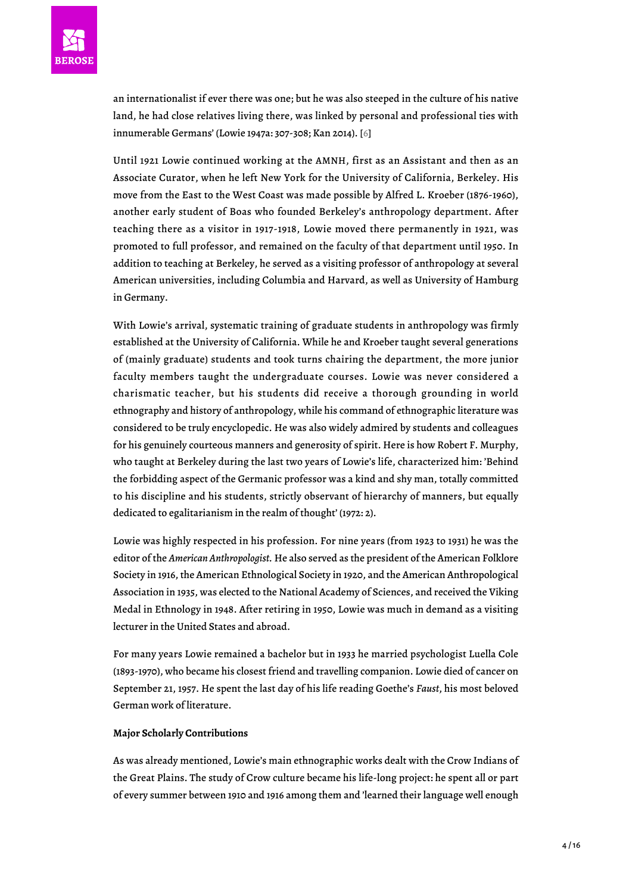

<span id="page-3-0"></span>an internationalist if ever there was one; but he was also steeped in the culture of his native land, he had close relatives living there, was linked by personal and professional ties with innumerable Germans' (Lowie 1947a: 307-308; Kan 2014). [\[6\]](#page-14-3)

Until 1921 Lowie continued working at the AMNH, first as an Assistant and then as an Associate Curator, when he left New York for the University of California, Berkeley. His move from the East to the West Coast was made possible by Alfred L. Kroeber (1876-1960), another early student of Boas who founded Berkeley's anthropology department. After teaching there as a visitor in 1917-1918, Lowie moved there permanently in 1921, was promoted to full professor, and remained on the faculty of that department until 1950. In addition to teaching at Berkeley, he served as a visiting professor of anthropology at several American universities, including Columbia and Harvard, as well as University of Hamburg in Germany.

With Lowie's arrival, systematic training of graduate students in anthropology was firmly established at the University of California. While he and Kroeber taught several generations of (mainly graduate) students and took turns chairing the department, the more junior faculty members taught the undergraduate courses. Lowie was never considered a charismatic teacher, but his students did receive a thorough grounding in world ethnography and history of anthropology, while his command of ethnographic literature was considered to be truly encyclopedic. He was also widely admired by students and colleagues for his genuinely courteous manners and generosity of spirit. Here is how Robert F. Murphy, who taught at Berkeley during the last two years of Lowie's life, characterized him: 'Behind the forbidding aspect of the Germanic professor was a kind and shy man, totally committed to his discipline and his students, strictly observant of hierarchy of manners, but equally dedicated to egalitarianism in the realm of thought' (1972: 2).

Lowie was highly respected in his profession. For nine years (from 1923 to 1931) he was the editor of the *American Anthropologist.* He also served as the president of the American Folklore Society in 1916, the American Ethnological Society in 1920, and the American Anthropological Association in 1935, was elected to the National Academy of Sciences, and received the Viking Medal in Ethnology in 1948. After retiring in 1950, Lowie was much in demand as a visiting lecturer in the United States and abroad.

For many years Lowie remained a bachelor but in 1933 he married psychologist Luella Cole (1893-1970), who became his closest friend and travelling companion. Lowie died of cancer on September 21, 1957. He spent the last day of his life reading Goethe's *Faust*, his most beloved German work of literature.

## **Major Scholarly Contributions**

As was already mentioned, Lowie's main ethnographic works dealt with the Crow Indians of the Great Plains. The study of Crow culture became his life-long project: he spent all or part of every summer between 1910 and 1916 among them and 'learned their language well enough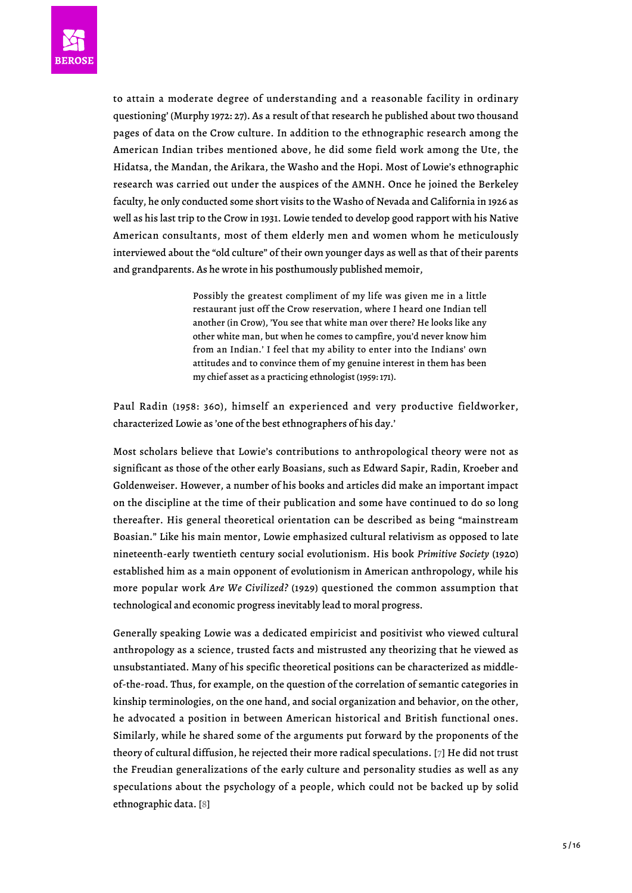

to attain a moderate degree of understanding and a reasonable facility in ordinary questioning' (Murphy 1972: 27). As a result of that research he published about two thousand pages of data on the Crow culture. In addition to the ethnographic research among the American Indian tribes mentioned above, he did some field work among the Ute, the Hidatsa, the Mandan, the Arikara, the Washo and the Hopi. Most of Lowie's ethnographic research was carried out under the auspices of the AMNH. Once he joined the Berkeley faculty, he only conducted some short visits to the Washo of Nevada and California in 1926 as well as his last trip to the Crow in 1931. Lowie tended to develop good rapport with his Native American consultants, most of them elderly men and women whom he meticulously interviewed about the "old culture" of their own younger days as well as that of their parents and grandparents. As he wrote in his posthumously published memoir,

> Possibly the greatest compliment of my life was given me in a little restaurant just off the Crow reservation, where I heard one Indian tell another (in Crow), 'You see that white man over there? He looks like any other white man, but when he comes to campfire, you'd never know him from an Indian.' I feel that my ability to enter into the Indians' own attitudes and to convince them of my genuine interest in them has been my chief asset as a practicing ethnologist (1959: 171).

Paul Radin (1958: 360), himself an experienced and very productive fieldworker, characterized Lowie as 'one of the best ethnographers of his day.'

Most scholars believe that Lowie's contributions to anthropological theory were not as significant as those of the other early Boasians, such as Edward Sapir, Radin, Kroeber and Goldenweiser. However, a number of his books and articles did make an important impact on the discipline at the time of their publication and some have continued to do so long thereafter. His general theoretical orientation can be described as being "mainstream Boasian." Like his main mentor, Lowie emphasized cultural relativism as opposed to late nineteenth-early twentieth century social evolutionism. His book *Primitive Society* (1920) established him as a main opponent of evolutionism in American anthropology, while his more popular work *Are We Civilized?* (1929) questioned the common assumption that technological and economic progress inevitably lead to moral progress.

<span id="page-4-1"></span><span id="page-4-0"></span>Generally speaking Lowie was a dedicated empiricist and positivist who viewed cultural anthropology as a science, trusted facts and mistrusted any theorizing that he viewed as unsubstantiated. Many of his specific theoretical positions can be characterized as middleof-the-road. Thus, for example, on the question of the correlation of semantic categories in kinship terminologies, on the one hand, and social organization and behavior, on the other, he advocated a position in between American historical and British functional ones. Similarly, while he shared some of the arguments put forward by the proponents of the theory of cultural diffusion, he rejected their more radical speculations. [[7](#page-14-4)] He did not trust the Freudian generalizations of the early culture and personality studies as well as any speculations about the psychology of a people, which could not be backed up by solid ethnographic data. [\[8](#page-14-5)]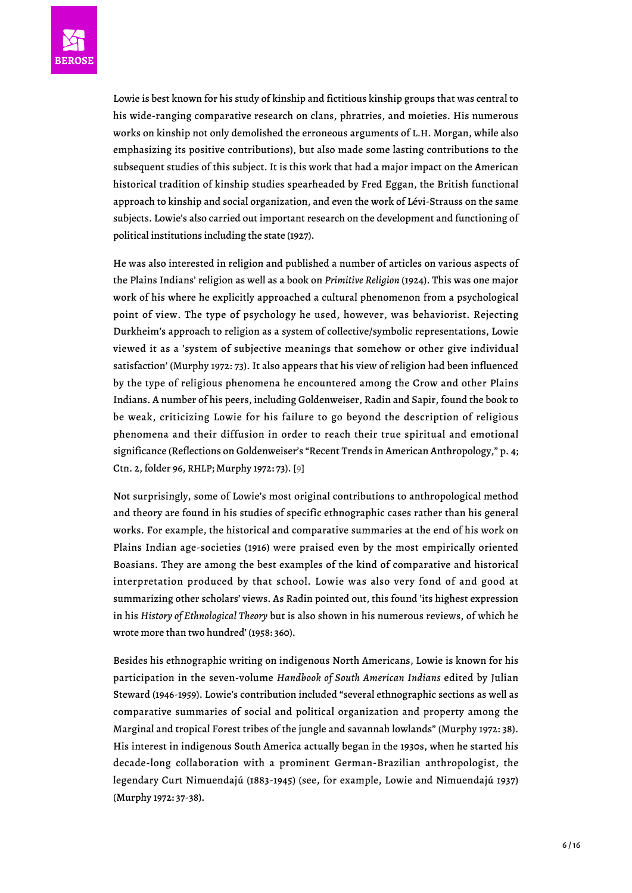

Lowie is best known for his study of kinship and fictitious kinship groups that was central to his wide-ranging comparative research on clans, phratries, and moieties. His numerous works on kinship not only demolished the erroneous arguments of L.H. Morgan, while also emphasizing its positive contributions), but also made some lasting contributions to the subsequent studies of this subject. It is this work that had a major impact on the American historical tradition of kinship studies spearheaded by Fred Eggan, the British functional approach to kinship and social organization, and even the work of Lévi-Strauss on the same subjects. Lowie's also carried out important research on the development and functioning of political institutions including the state (1927).

He was also interested in religion and published a number of articles on various aspects of the Plains Indians' religion as well as a book on *Primitive Religion* (1924). This was one major work of his where he explicitly approached a cultural phenomenon from a psychological point of view. The type of psychology he used, however, was behaviorist. Rejecting Durkheim's approach to religion as a system of collective/symbolic representations, Lowie viewed it as a 'system of subjective meanings that somehow or other give individual satisfaction' (Murphy 1972: 73). It also appears that his view of religion had been influenced by the type of religious phenomena he encountered among the Crow and other Plains Indians. A number of his peers, including Goldenweiser, Radin and Sapir, found the book to be weak, criticizing Lowie for his failure to go beyond the description of religious phenomena and their diffusion in order to reach their true spiritual and emotional significance (Reflections on Goldenweiser's "Recent Trends in American Anthropology," p. 4; Ctn. 2, folder 96, RHLP; Murphy 1972: 73). [\[9\]](#page-14-6)

<span id="page-5-0"></span>Not surprisingly, some of Lowie's most original contributions to anthropological method and theory are found in his studies of specific ethnographic cases rather than his general works. For example, the historical and comparative summaries at the end of his work on Plains Indian age-societies (1916) were praised even by the most empirically oriented Boasians. They are among the best examples of the kind of comparative and historical interpretation produced by that school. Lowie was also very fond of and good at summarizing other scholars' views. As Radin pointed out, this found 'its highest expression in his *History of Ethnological Theory* but is also shown in his numerous reviews, of which he wrote more than two hundred' (1958: 360).

Besides his ethnographic writing on indigenous North Americans, Lowie is known for his participation in the seven-volume *Handbook of South American Indians* edited by Julian Steward (1946-1959). Lowie's contribution included "several ethnographic sections as well as comparative summaries of social and political organization and property among the Marginal and tropical Forest tribes of the jungle and savannah lowlands" (Murphy 1972: 38). His interest in indigenous South America actually began in the 1930s, when he started his decade-long collaboration with a prominent German-Brazilian anthropologist, the legendary Curt Nimuendajú (1883-1945) (see, for example, Lowie and Nimuendajú 1937) (Murphy 1972: 37-38).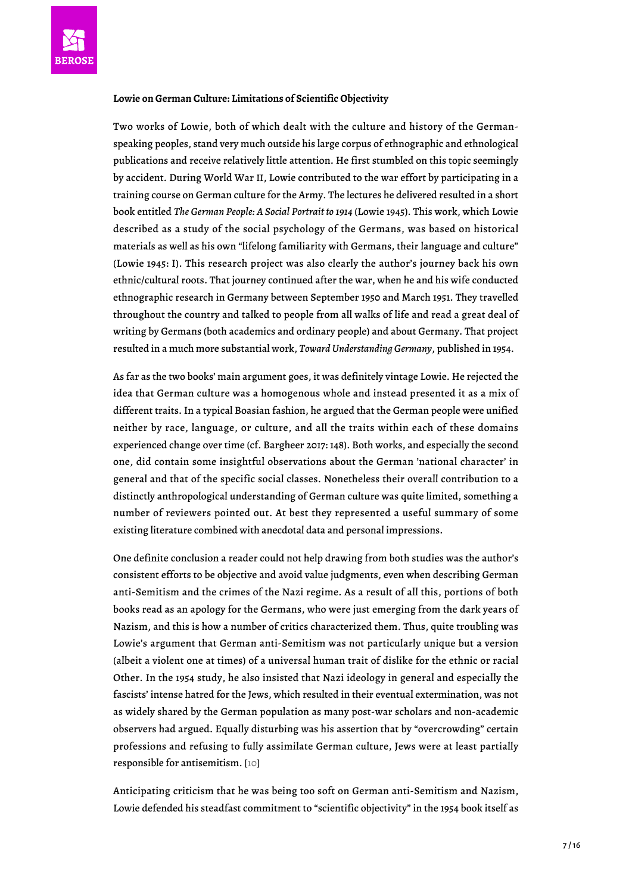# **Lowie on German Culture: Limitations of Scientific Objectivity**

Two works of Lowie, both of which dealt with the culture and history of the Germanspeaking peoples, stand very much outside his large corpus of ethnographic and ethnological publications and receive relatively little attention. He first stumbled on this topic seemingly by accident. During World War II, Lowie contributed to the war effort by participating in a training course on German culture for the Army. The lectures he delivered resulted in a short book entitled *The German People: A Social Portrait to 1914* (Lowie 1945). This work, which Lowie described as a study of the social psychology of the Germans, was based on historical materials as well as his own "lifelong familiarity with Germans, their language and culture" (Lowie 1945: I). This research project was also clearly the author's journey back his own ethnic/cultural roots. That journey continued after the war, when he and his wife conducted ethnographic research in Germany between September 1950 and March 1951. They travelled throughout the country and talked to people from all walks of life and read a great deal of writing by Germans (both academics and ordinary people) and about Germany. That project resulted in a much more substantial work, *Toward Understanding Germany*, published in 1954.

As far as the two books' main argument goes, it was definitely vintage Lowie. He rejected the idea that German culture was a homogenous whole and instead presented it as a mix of different traits. In a typical Boasian fashion, he argued that the German people were unified neither by race, language, or culture, and all the traits within each of these domains experienced change over time (cf. Bargheer 2017: 148). Both works, and especially the second one, did contain some insightful observations about the German 'national character' in general and that of the specific social classes. Nonetheless their overall contribution to a distinctly anthropological understanding of German culture was quite limited, something a number of reviewers pointed out. At best they represented a useful summary of some existing literature combined with anecdotal data and personal impressions.

One definite conclusion a reader could not help drawing from both studies was the author's consistent efforts to be objective and avoid value judgments, even when describing German anti-Semitism and the crimes of the Nazi regime. As a result of all this, portions of both books read as an apology for the Germans, who were just emerging from the dark years of Nazism, and this is how a number of critics characterized them. Thus, quite troubling was Lowie's argument that German anti-Semitism was not particularly unique but a version (albeit a violent one at times) of a universal human trait of dislike for the ethnic or racial Other. In the 1954 study, he also insisted that Nazi ideology in general and especially the fascists' intense hatred for the Jews, which resulted in their eventual extermination, was not as widely shared by the German population as many post-war scholars and non-academic observers had argued. Equally disturbing was his assertion that by "overcrowding" certain professions and refusing to fully assimilate German culture, Jews were at least partially responsible for antisemitism. [\[10](#page-14-7)]

<span id="page-6-0"></span>Anticipating criticism that he was being too soft on German anti-Semitism and Nazism, Lowie defended his steadfast commitment to "scientific objectivity" in the 1954 book itself as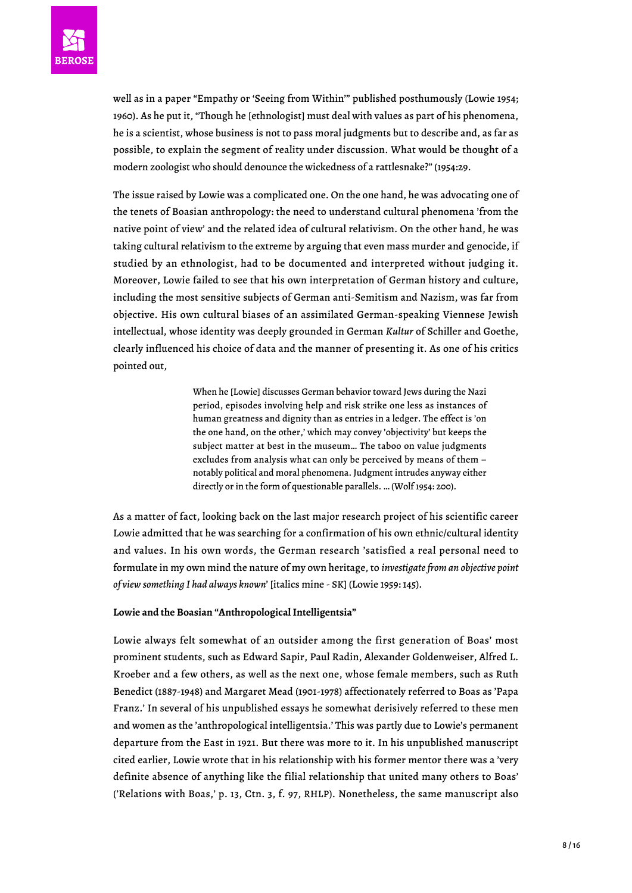well as in a paper "Empathy or 'Seeing from Within'" published posthumously (Lowie 1954; 1960). As he put it, "Though he [ethnologist] must deal with values as part of his phenomena, he is a scientist, whose business is not to pass moral judgments but to describe and, as far as possible, to explain the segment of reality under discussion. What would be thought of a modern zoologist who should denounce the wickedness of a rattlesnake?" (1954:29.

The issue raised by Lowie was a complicated one. On the one hand, he was advocating one of the tenets of Boasian anthropology: the need to understand cultural phenomena 'from the native point of view' and the related idea of cultural relativism. On the other hand, he was taking cultural relativism to the extreme by arguing that even mass murder and genocide, if studied by an ethnologist, had to be documented and interpreted without judging it. Moreover, Lowie failed to see that his own interpretation of German history and culture, including the most sensitive subjects of German anti-Semitism and Nazism, was far from objective. His own cultural biases of an assimilated German-speaking Viennese Jewish intellectual, whose identity was deeply grounded in German *Kultur* of Schiller and Goethe, clearly influenced his choice of data and the manner of presenting it. As one of his critics pointed out,

> When he [Lowie] discusses German behavior toward Jews during the Nazi period, episodes involving help and risk strike one less as instances of human greatness and dignity than as entries in a ledger. The effect is 'on the one hand, on the other,' which may convey 'objectivity' but keeps the subject matter at best in the museum… The taboo on value judgments excludes from analysis what can only be perceived by means of them – notably political and moral phenomena. Judgment intrudes anyway either directly or in the form of questionable parallels. … (Wolf 1954: 200).

As a matter of fact, looking back on the last major research project of his scientific career Lowie admitted that he was searching for a confirmation of his own ethnic/cultural identity and values. In his own words, the German research 'satisfied a real personal need to formulate in my own mind the nature of my own heritage, to *investigate from an objective point of view something I had always known*' [italics mine - SK] (Lowie 1959: 145).

# **Lowie and the Boasian "Anthropological Intelligentsia"**

Lowie always felt somewhat of an outsider among the first generation of Boas' most prominent students, such as Edward Sapir, Paul Radin, Alexander Goldenweiser, Alfred L. Kroeber and a few others, as well as the next one, whose female members, such as Ruth Benedict (1887-1948) and Margaret Mead (1901-1978) affectionately referred to Boas as 'Papa Franz.' In several of his unpublished essays he somewhat derisively referred to these men and women as the 'anthropological intelligentsia.' This was partly due to Lowie's permanent departure from the East in 1921. But there was more to it. In his unpublished manuscript cited earlier, Lowie wrote that in his relationship with his former mentor there was a 'very definite absence of anything like the filial relationship that united many others to Boas' ('Relations with Boas,' p. 13, Ctn. 3, f. 97, RHLP). Nonetheless, the same manuscript also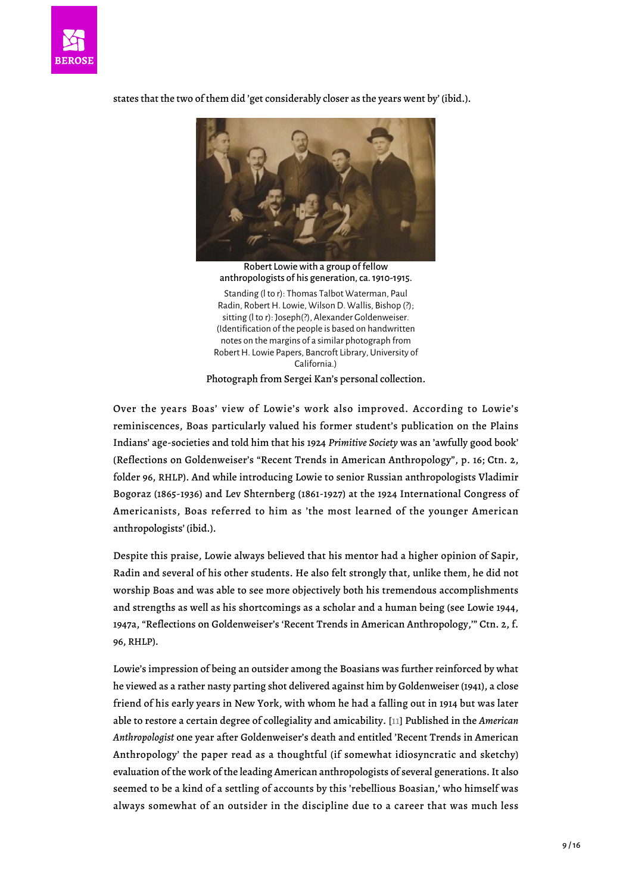

states that the two of them did 'get considerably closer as the years went by' (ibid.).

Robert Lowie with a group of fellow anthropologists of his generation, ca. 1910-1915. Standing (l to r): Thomas Talbot Waterman, Paul Radin, Robert H. Lowie, Wilson D. Wallis, Bishop (?); sitting (l to r): Joseph(?), Alexander Goldenweiser. (Identification of the people is based on handwritten notes on the margins of a similar photograph from Robert H. Lowie Papers, Bancroft Library, University of California.) Photograph from Sergei Kan's personal collection.

Over the years Boas' view of Lowie's work also improved. According to Lowie's reminiscences, Boas particularly valued his former student's publication on the Plains Indians' age-societies and told him that his 1924 *Primitive Society* was an 'awfully good book' (Reflections on Goldenweiser's "Recent Trends in American Anthropology", p. 16; Ctn. 2, folder 96, RHLP). And while introducing Lowie to senior Russian anthropologists Vladimir Bogoraz (1865-1936) and Lev Shternberg (1861-1927) at the 1924 International Congress of Americanists, Boas referred to him as 'the most learned of the younger American anthropologists' (ibid.).

Despite this praise, Lowie always believed that his mentor had a higher opinion of Sapir, Radin and several of his other students. He also felt strongly that, unlike them, he did not worship Boas and was able to see more objectively both his tremendous accomplishments and strengths as well as his shortcomings as a scholar and a human being (see Lowie 1944, 1947a, "Reflections on Goldenweiser's 'Recent Trends in American Anthropology,'" Ctn. 2, f. 96, RHLP).

<span id="page-8-0"></span>Lowie's impression of being an outsider among the Boasians was further reinforced by what he viewed as a rather nasty parting shot delivered against him by Goldenweiser (1941), a close friend of his early years in New York, with whom he had a falling out in 1914 but was later able to restore a certain degree of collegiality and amicability. [\[11](#page-14-8)] Published in the *American Anthropologist* one year after Goldenweiser's death and entitled 'Recent Trends in American Anthropology' the paper read as a thoughtful (if somewhat idiosyncratic and sketchy) evaluation of the work of the leading American anthropologists of several generations. It also seemed to be a kind of a settling of accounts by this 'rebellious Boasian,' who himself was always somewhat of an outsider in the discipline due to a career that was much less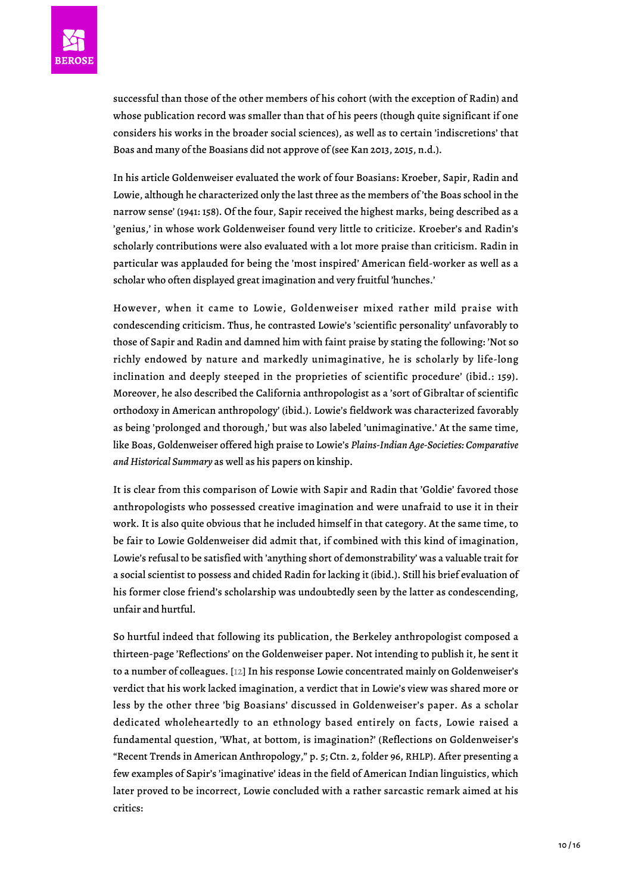successful than those of the other members of his cohort (with the exception of Radin) and whose publication record was smaller than that of his peers (though quite significant if one considers his works in the broader social sciences), as well as to certain 'indiscretions' that Boas and many of the Boasians did not approve of (see Kan 2013, 2015, n.d.).

In his article Goldenweiser evaluated the work of four Boasians: Kroeber, Sapir, Radin and Lowie, although he characterized only the last three as the members of 'the Boas school in the narrow sense' (1941: 158). Of the four, Sapir received the highest marks, being described as a 'genius,' in whose work Goldenweiser found very little to criticize. Kroeber's and Radin's scholarly contributions were also evaluated with a lot more praise than criticism. Radin in particular was applauded for being the 'most inspired' American field-worker as well as a scholar who often displayed great imagination and very fruitful 'hunches.'

However, when it came to Lowie, Goldenweiser mixed rather mild praise with condescending criticism. Thus, he contrasted Lowie's 'scientific personality' unfavorably to those of Sapir and Radin and damned him with faint praise by stating the following: 'Not so richly endowed by nature and markedly unimaginative, he is scholarly by life-long inclination and deeply steeped in the proprieties of scientific procedure' (ibid.: 159). Moreover, he also described the California anthropologist as a 'sort of Gibraltar of scientific orthodoxy in American anthropology' (ibid.). Lowie's fieldwork was characterized favorably as being 'prolonged and thorough,' but was also labeled 'unimaginative.' At the same time, like Boas, Goldenweiser offered high praise to Lowie's *Plains-Indian Age-Societies: Comparative and Historical Summary* as well as his papers on kinship.

It is clear from this comparison of Lowie with Sapir and Radin that 'Goldie' favored those anthropologists who possessed creative imagination and were unafraid to use it in their work. It is also quite obvious that he included himself in that category. At the same time, to be fair to Lowie Goldenweiser did admit that, if combined with this kind of imagination, Lowie's refusal to be satisfied with 'anything short of demonstrability' was a valuable trait for a social scientist to possess and chided Radin for lacking it (ibid.). Still his brief evaluation of his former close friend's scholarship was undoubtedly seen by the latter as condescending, unfair and hurtful.

<span id="page-9-0"></span>So hurtful indeed that following its publication, the Berkeley anthropologist composed a thirteen-page 'Reflections' on the Goldenweiser paper. Not intending to publish it, he sent it to a number of colleagues. [\[12\]](#page-15-0) In his response Lowie concentrated mainly on Goldenweiser's verdict that his work lacked imagination, a verdict that in Lowie's view was shared more or less by the other three 'big Boasians' discussed in Goldenweiser's paper. As a scholar dedicated wholeheartedly to an ethnology based entirely on facts, Lowie raised a fundamental question, 'What, at bottom, is imagination?' (Reflections on Goldenweiser's "Recent Trends in American Anthropology," p. 5; Ctn. 2, folder 96, RHLP). After presenting a few examples of Sapir's 'imaginative' ideas in the field of American Indian linguistics, which later proved to be incorrect, Lowie concluded with a rather sarcastic remark aimed at his critics: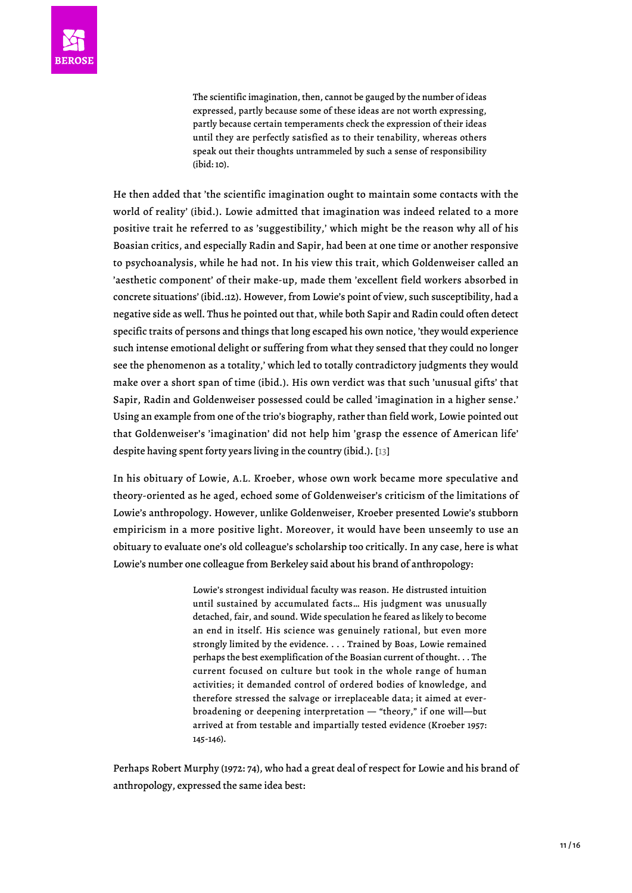The scientific imagination, then, cannot be gauged by the number of ideas expressed, partly because some of these ideas are not worth expressing, partly because certain temperaments check the expression of their ideas until they are perfectly satisfied as to their tenability, whereas others speak out their thoughts untrammeled by such a sense of responsibility (ibid: 10).

He then added that 'the scientific imagination ought to maintain some contacts with the world of reality' (ibid.). Lowie admitted that imagination was indeed related to a more positive trait he referred to as 'suggestibility,' which might be the reason why all of his Boasian critics, and especially Radin and Sapir, had been at one time or another responsive to psychoanalysis, while he had not. In his view this trait, which Goldenweiser called an 'aesthetic component' of their make-up, made them 'excellent field workers absorbed in concrete situations' (ibid.:12). However, from Lowie's point of view, such susceptibility, had a negative side as well. Thus he pointed out that, while both Sapir and Radin could often detect specific traits of persons and things that long escaped his own notice, 'they would experience such intense emotional delight or suffering from what they sensed that they could no longer see the phenomenon as a totality,' which led to totally contradictory judgments they would make over a short span of time (ibid.). His own verdict was that such 'unusual gifts' that Sapir, Radin and Goldenweiser possessed could be called 'imagination in a higher sense.' Using an example from one of the trio's biography, rather than field work, Lowie pointed out that Goldenweiser's 'imagination' did not help him 'grasp the essence of American life' despite having spent forty years living in the country (ibid.). [[13](#page-15-1)]

<span id="page-10-0"></span>In his obituary of Lowie, A.L. Kroeber, whose own work became more speculative and theory-oriented as he aged, echoed some of Goldenweiser's criticism of the limitations of Lowie's anthropology. However, unlike Goldenweiser, Kroeber presented Lowie's stubborn empiricism in a more positive light. Moreover, it would have been unseemly to use an obituary to evaluate one's old colleague's scholarship too critically. In any case, here is what Lowie's number one colleague from Berkeley said about his brand of anthropology:

> Lowie's strongest individual faculty was reason. He distrusted intuition until sustained by accumulated facts… His judgment was unusually detached, fair, and sound. Wide speculation he feared as likely to become an end in itself. His science was genuinely rational, but even more strongly limited by the evidence. . . . Trained by Boas, Lowie remained perhaps the best exemplification of the Boasian current of thought. . . The current focused on culture but took in the whole range of human activities; it demanded control of ordered bodies of knowledge, and therefore stressed the salvage or irreplaceable data; it aimed at everbroadening or deepening interpretation — "theory," if one will—but arrived at from testable and impartially tested evidence (Kroeber 1957: 145-146).

Perhaps Robert Murphy (1972: 74), who had a great deal of respect for Lowie and his brand of anthropology, expressed the same idea best: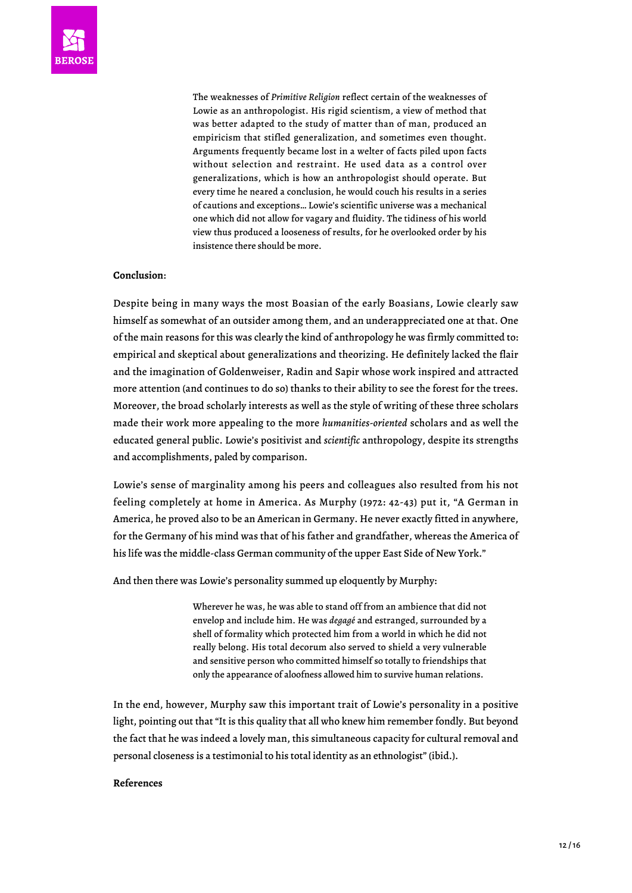The weaknesses of *Primitive Religion* reflect certain of the weaknesses of Lowie as an anthropologist. His rigid scientism, a view of method that was better adapted to the study of matter than of man, produced an empiricism that stifled generalization, and sometimes even thought. Arguments frequently became lost in a welter of facts piled upon facts without selection and restraint. He used data as a control over generalizations, which is how an anthropologist should operate. But every time he neared a conclusion, he would couch his results in a series of cautions and exceptions… Lowie's scientific universe was a mechanical one which did not allow for vagary and fluidity. The tidiness of his world view thus produced a looseness of results, for he overlooked order by his insistence there should be more.

## **Conclusion**:

Despite being in many ways the most Boasian of the early Boasians, Lowie clearly saw himself as somewhat of an outsider among them, and an underappreciated one at that. One of the main reasons for this was clearly the kind of anthropology he was firmly committed to: empirical and skeptical about generalizations and theorizing. He definitely lacked the flair and the imagination of Goldenweiser, Radin and Sapir whose work inspired and attracted more attention (and continues to do so) thanks to their ability to see the forest for the trees. Moreover, the broad scholarly interests as well as the style of writing of these three scholars made their work more appealing to the more *humanities-oriented* scholars and as well the educated general public. Lowie's positivist and *scientific* anthropology, despite its strengths and accomplishments, paled by comparison.

Lowie's sense of marginality among his peers and colleagues also resulted from his not feeling completely at home in America. As Murphy (1972: 42-43) put it, "A German in America, he proved also to be an American in Germany. He never exactly fitted in anywhere, for the Germany of his mind was that of his father and grandfather, whereas the America of his life was the middle-class German community of the upper East Side of New York."

And then there was Lowie's personality summed up eloquently by Murphy:

Wherever he was, he was able to stand off from an ambience that did not envelop and include him. He was *degagé* and estranged, surrounded by a shell of formality which protected him from a world in which he did not really belong. His total decorum also served to shield a very vulnerable and sensitive person who committed himself so totally to friendships that only the appearance of aloofness allowed him to survive human relations.

In the end, however, Murphy saw this important trait of Lowie's personality in a positive light, pointing out that "It is this quality that all who knew him remember fondly. But beyond the fact that he was indeed a lovely man, this simultaneous capacity for cultural removal and personal closeness is a testimonial to his total identity as an ethnologist" (ibid.).

#### **References**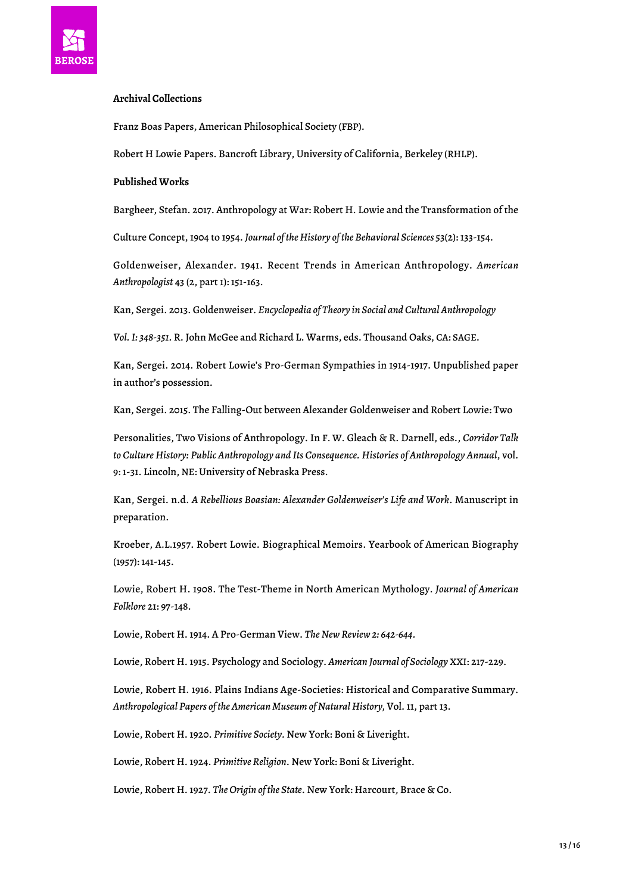

# **Archival Collections**

Franz Boas Papers, American Philosophical Society (FBP).

Robert H Lowie Papers. Bancroft Library, University of California, Berkeley (RHLP).

# **Published Works**

Bargheer, Stefan. 2017. Anthropology at War: Robert H. Lowie and the Transformation of the

Culture Concept, 1904 to 1954. *Journal of the History of the Behavioral Sciences* 53(2): 133-154.

Goldenweiser, Alexander. 1941. Recent Trends in American Anthropology. *American Anthropologist* 43 (2, part 1): 151-163.

Kan, Sergei. 2013. Goldenweiser. *Encyclopedia of Theory in Social and Cultural Anthropology*

*Vol. I: 348-351.* R. John McGee and Richard L. Warms, eds. Thousand Oaks, CA: SAGE.

Kan, Sergei. 2014. Robert Lowie's Pro-German Sympathies in 1914-1917. Unpublished paper in author's possession.

Kan, Sergei. 2015. The Falling-Out between Alexander Goldenweiser and Robert Lowie: Two

Personalities, Two Visions of Anthropology. In F. W. Gleach & R. Darnell, eds., *Corridor Talk to Culture History: Public Anthropology and Its Consequence. Histories of Anthropology Annual*, vol. 9: 1-31. Lincoln, NE: University of Nebraska Press.

Kan, Sergei. n.d. *A Rebellious Boasian: Alexander Goldenweiser's Life and Work*. Manuscript in preparation.

Kroeber, A.L.1957. Robert Lowie. Biographical Memoirs. Yearbook of American Biography (1957): 141-145.

Lowie, Robert H. 1908. The Test-Theme in North American Mythology. *Journal of American Folklore* 21: 97-148.

Lowie, Robert H. 1914. A Pro-German View. *The New Review 2: 642-644.*

Lowie, Robert H. 1915. Psychology and Sociology. *American Journal of Sociology* XXI: 217-229.

Lowie, Robert H. 1916. Plains Indians Age-Societies: Historical and Comparative Summary. *Anthropological Papers of the American Museum of Natural History,* Vol. 11, part 13.

Lowie, Robert H. 1920. *Primitive Society.* New York: Boni & Liveright.

Lowie, Robert H. 1924. *Primitive Religion*. New York: Boni & Liveright.

Lowie, Robert H. 1927. *The Origin of the State*. New York: Harcourt, Brace & Co.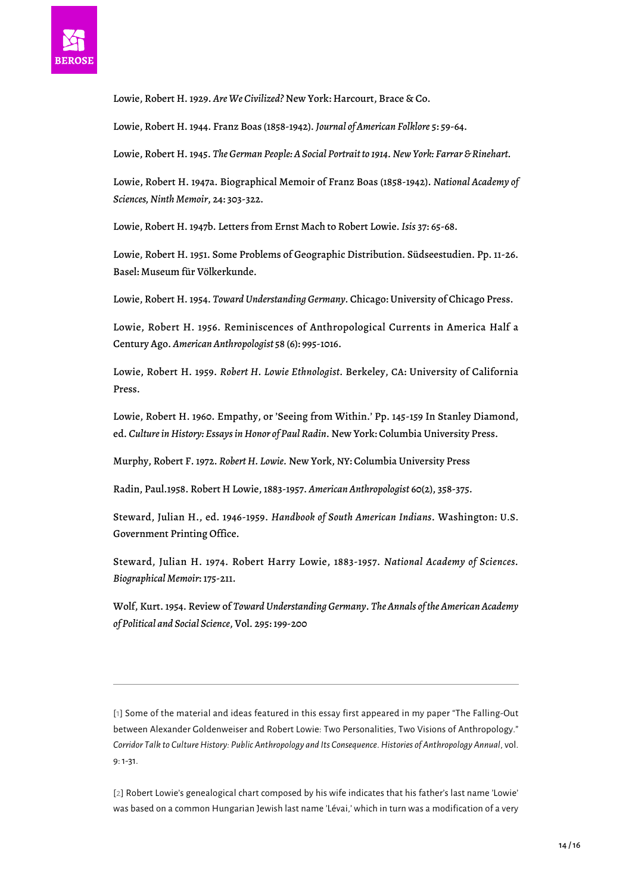

Lowie, Robert H. 1929. *Are We Civilized?* New York: Harcourt, Brace & Co.

Lowie, Robert H. 1944. Franz Boas (1858-1942). *Journal of American Folklore* 5: 59-64.

Lowie, Robert H. 1945. *The German People: A Social Portrait to 1914. New York: Farrar & Rinehart.*

Lowie, Robert H. 1947a. Biographical Memoir of Franz Boas (1858-1942). *National Academy of Sciences, Ninth Memoir*, 24: 303-322.

Lowie, Robert H. 1947b. Letters from Ernst Mach to Robert Lowie. *Isis* 37: 65-68.

Lowie, Robert H. 1951. Some Problems of Geographic Distribution. Südseestudien. Pp. 11-26. Basel: Museum für Völkerkunde.

Lowie, Robert H. 1954. *Toward Understanding Germany.* Chicago: University of Chicago Press.

Lowie, Robert H. 1956. Reminiscences of Anthropological Currents in America Half a Century Ago. *American Anthropologist* 58 (6): 995-1016.

Lowie, Robert H. 1959. *Robert H. Lowie Ethnologist.* Berkeley, CA: University of California Press.

Lowie, Robert H. 1960. Empathy, or 'Seeing from Within.' Pp. 145-159 In Stanley Diamond, ed. *Culture in History: Essays in Honor of Paul Radin*. New York: Columbia University Press.

Murphy, Robert F. 1972. *Robert H. Lowie.* New York, NY: Columbia University Press

Radin, Paul.1958. Robert H Lowie, 1883-1957. *American Anthropologist* 60(2), 358-375.

Steward, Julian H., ed. 1946-1959. *Handbook of South American Indians*. Washington: U.S. Government Printing Office.

Steward, Julian H. 1974. Robert Harry Lowie, 1883-1957. *National Academy of Sciences. Biographical Memoir*: 175-211.

Wolf, Kurt. 1954. Review of *Toward Understanding Germany*. *The Annals of the American Academy of Political and Social Science*, Vol. 295: 199-200

<span id="page-13-0"></span>[[1](#page-0-0)] Some of the material and ideas featured in this essay first appeared in my paper "The Falling-Out between Alexander Goldenweiser and Robert Lowie: Two Personalities, Two Visions of Anthropology." *Corridor Talk to Culture History: Public Anthropology and Its Consequence*. *Histories of Anthropology Annual*, vol. 9: 1-31.

<span id="page-13-1"></span>[[2\]](#page-0-1) Robert Lowie's genealogical chart composed by his wife indicates that his father's last name 'Lowie' was based on a common Hungarian Jewish last name 'Lévai,' which in turn was a modification of a very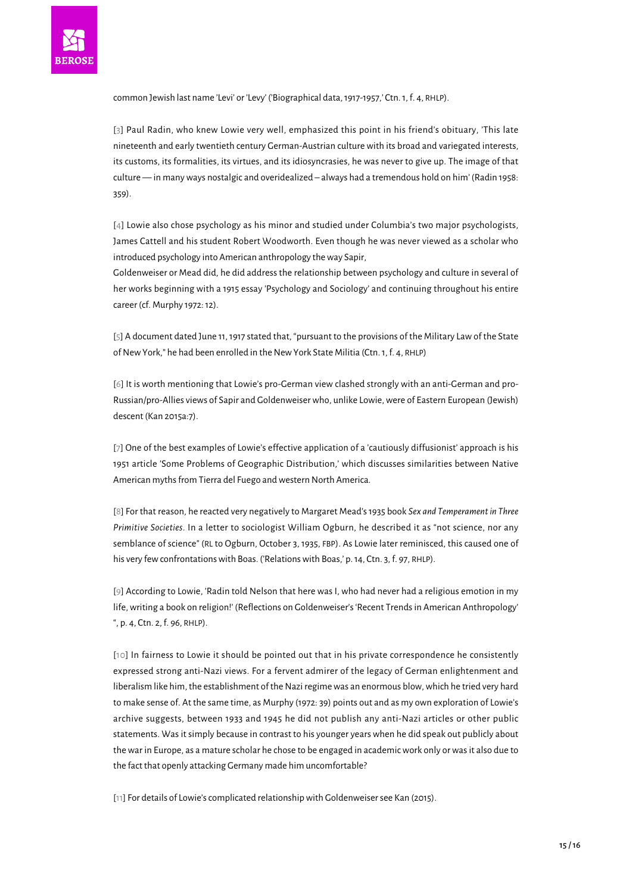<span id="page-14-0"></span>

common Jewish last name 'Levi' or 'Levy' ('Biographical data, 1917-1957,' Ctn. 1, f. 4, RHLP).

[[3\]](#page-0-2) Paul Radin, who knew Lowie very well, emphasized this point in his friend's obituary, 'This late nineteenth and early twentieth century German-Austrian culture with its broad and variegated interests, its customs, its formalities, its virtues, and its idiosyncrasies, he was never to give up. The image of that culture — in many ways nostalgic and overidealized – always had a tremendous hold on him' (Radin 1958: 359).

<span id="page-14-1"></span>[[4](#page-0-3)] Lowie also chose psychology as his minor and studied under Columbia's two major psychologists, James Cattell and his student Robert Woodworth. Even though he was never viewed as a scholar who introduced psychology into American anthropology the way Sapir,

Goldenweiser or Mead did, he did address the relationship between psychology and culture in several of her works beginning with a 1915 essay 'Psychology and Sociology' and continuing throughout his entire career (cf. Murphy 1972: 12).

<span id="page-14-2"></span>[\[5](#page-2-0)] A document dated June 11, 1917 stated that, "pursuant to the provisions of the Military Law of the State of New York," he had been enrolled in the New York State Militia (Ctn. 1, f. 4, RHLP)

<span id="page-14-3"></span>[[6](#page-3-0)] It is worth mentioning that Lowie's pro-German view clashed strongly with an anti-German and pro-Russian/pro-Allies views of Sapir and Goldenweiser who, unlike Lowie, were of Eastern European (Jewish) descent (Kan 2015a:7).

<span id="page-14-4"></span>[[7\]](#page-4-0) One of the best examples of Lowie's effective application of a 'cautiously diffusionist' approach is his 1951 article 'Some Problems of Geographic Distribution,' which discusses similarities between Native American myths from Tierra del Fuego and western North America.

<span id="page-14-5"></span>[\[8\]](#page-4-1) For that reason, he reacted very negatively to Margaret Mead's 1935 book *Sex and Temperament in Three Primitive Societies*. In a letter to sociologist William Ogburn, he described it as "not science, nor any semblance of science" (RL to Ogburn, October 3, 1935, FBP). As Lowie later reminisced, this caused one of his very few confrontations with Boas. ('Relations with Boas,' p. 14, Ctn. 3, f. 97, RHLP).

<span id="page-14-6"></span>[[9](#page-5-0)] According to Lowie, 'Radin told Nelson that here was I, who had never had a religious emotion in my life, writing a book on religion!' (Reflections on Goldenweiser's 'Recent Trends in American Anthropology' ", p. 4, Ctn. 2, f. 96, RHLP).

<span id="page-14-7"></span>[[10](#page-6-0)] In fairness to Lowie it should be pointed out that in his private correspondence he consistently expressed strong anti-Nazi views. For a fervent admirer of the legacy of German enlightenment and liberalism like him, the establishment of the Nazi regime was an enormous blow, which he tried very hard to make sense of. At the same time, as Murphy (1972: 39) points out and as my own exploration of Lowie's archive suggests, between 1933 and 1945 he did not publish any anti-Nazi articles or other public statements. Was it simply because in contrast to his younger years when he did speak out publicly about the war in Europe, as a mature scholar he chose to be engaged in academic work only or was it also due to the fact that openly attacking Germany made him uncomfortable?

<span id="page-14-8"></span>[\[11\]](#page-8-0) For details of Lowie's complicated relationship with Goldenweiser see Kan (2015).